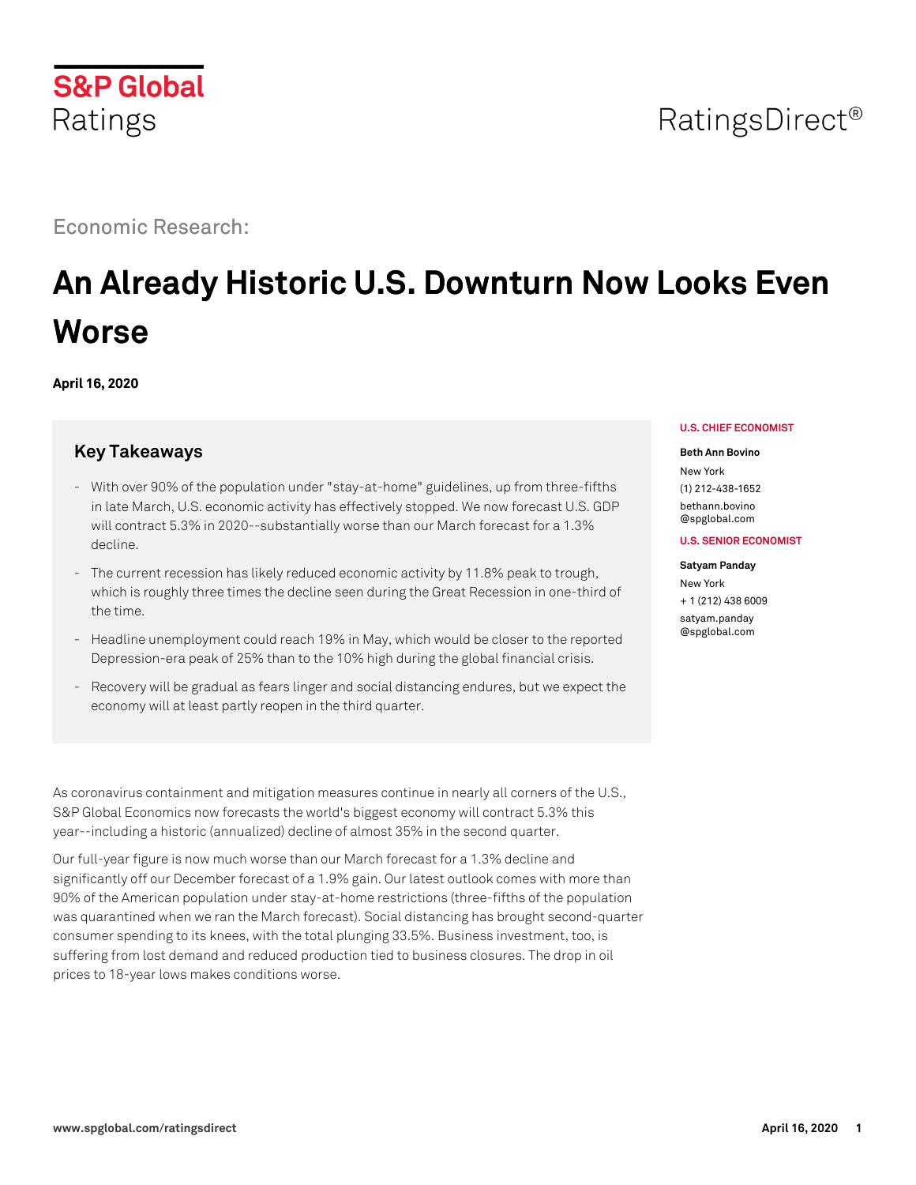

# Economic Research:

# **An Already Historic U.S. Downturn Now Looks Even Worse**

**April 16, 2020**

# **Key Takeaways**

- With over 90% of the population under "stay-at-home" guidelines, up from three-fifths in late March, U.S. economic activity has effectively stopped. We now forecast U.S. GDP will contract 5.3% in 2020--substantially worse than our March forecast for a 1.3% decline.
- The current recession has likely reduced economic activity by 11.8% peak to trough, which is roughly three times the decline seen during the Great Recession in one-third of the time.
- Headline unemployment could reach 19% in May, which would be closer to the reported Depression-era peak of 25% than to the 10% high during the global financial crisis.
- Recovery will be gradual as fears linger and social distancing endures, but we expect the economy will at least partly reopen in the third quarter.

As coronavirus containment and mitigation measures continue in nearly all corners of the U.S., S&P Global Economics now forecasts the world's biggest economy will contract 5.3% this year--including a historic (annualized) decline of almost 35% in the second quarter.

Our full-year figure is now much worse than our March forecast for a 1.3% decline and significantly off our December forecast of a 1.9% gain. Our latest outlook comes with more than 90% of the American population under stay-at-home restrictions (three-fifths of the population was quarantined when we ran the March forecast). Social distancing has brought second-quarter consumer spending to its knees, with the total plunging 33.5%. Business investment, too, is suffering from lost demand and reduced production tied to business closures. The drop in oil prices to 18-year lows makes conditions worse.

## **U.S. CHIEF ECONOMIST**

### **Beth Ann Bovino**

New York (1) 212-438-1652 [bethann.bovino](mailto: bethann.bovino@spglobal.com) [@spglobal.com](mailto: bethann.bovino@spglobal.com)

# **U.S. SENIOR ECONOMIST**

### **Satyam Panday**

New York + 1 (212) 438 6009 [satyam.panday](mailto: satyam.panday@spglobal.com) [@spglobal.com](mailto: satyam.panday@spglobal.com)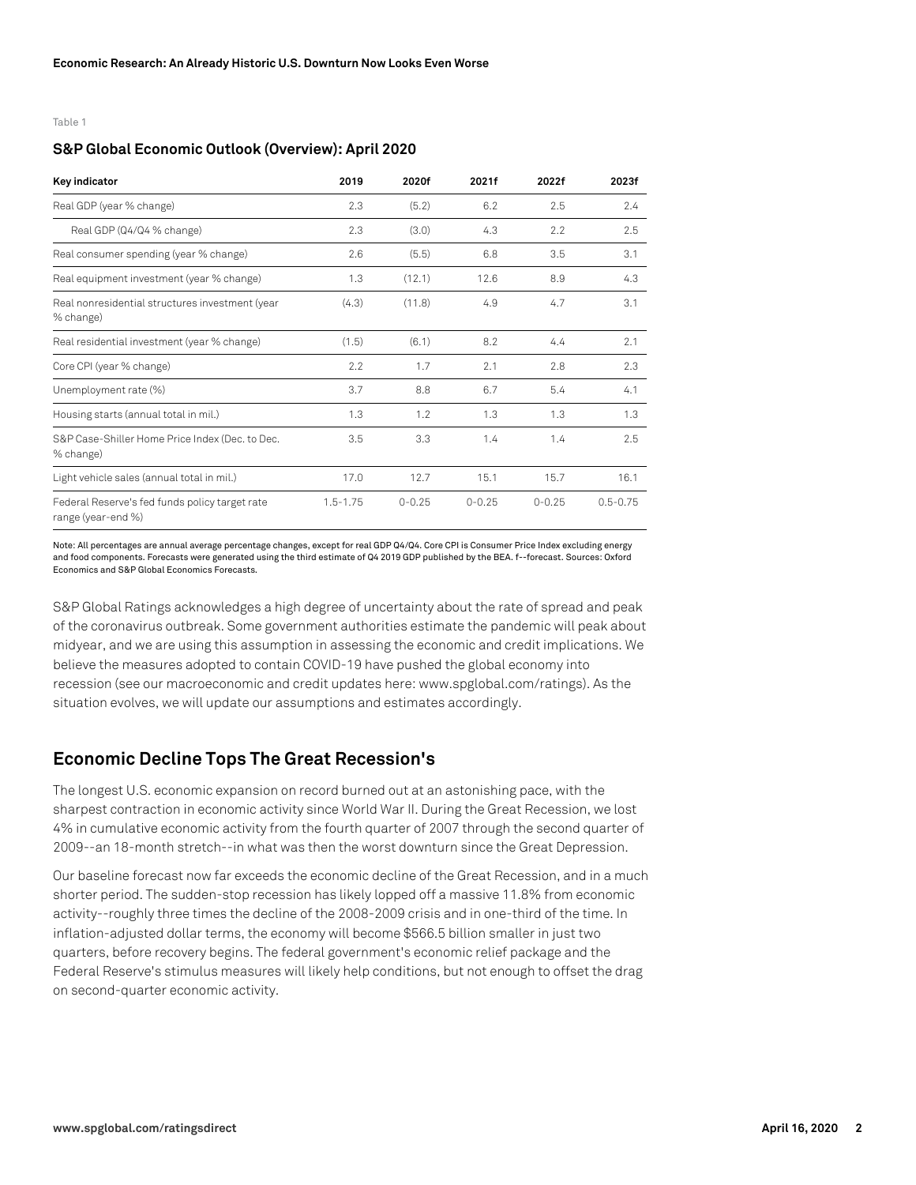Table 1

# **S&P Global Economic Outlook (Overview): April 2020**

| Key indicator                                                        | 2019         | 2020f      | 2021f      | 2022f      | 2023f        |
|----------------------------------------------------------------------|--------------|------------|------------|------------|--------------|
| Real GDP (year % change)                                             | 2.3          | (5.2)      | 6.2        | 2.5        | 2.4          |
| Real GDP (Q4/Q4 % change)                                            | 2.3          | (3.0)      | 4.3        | 2.2        | 2.5          |
| Real consumer spending (year % change)                               | 2.6          | (5.5)      | 6.8        | 3.5        | 3.1          |
| Real equipment investment (year % change)                            | 1.3          | (12.1)     | 12.6       | 8.9        | 4.3          |
| Real nonresidential structures investment (year<br>% change)         | (4.3)        | (11.8)     | 4.9        | 4.7        | 3.1          |
| Real residential investment (year % change)                          | (1.5)        | (6.1)      | 8.2        | 4.4        | 2.1          |
| Core CPI (year % change)                                             | 2.2          | 1.7        | 2.1        | 2.8        | 2.3          |
| Unemployment rate (%)                                                | 3.7          | 8.8        | 6.7        | 5.4        | 4.1          |
| Housing starts (annual total in mil.)                                | 1.3          | 1.2        | 1.3        | 1.3        | 1.3          |
| S&P Case-Shiller Home Price Index (Dec. to Dec.<br>% change)         | 3.5          | 3.3        | 1.4        | 1.4        | 2.5          |
| Light vehicle sales (annual total in mil.)                           | 17.0         | 12.7       | 15.1       | 15.7       | 16.1         |
| Federal Reserve's fed funds policy target rate<br>range (year-end %) | $1.5 - 1.75$ | $0 - 0.25$ | $0 - 0.25$ | $0 - 0.25$ | $0.5 - 0.75$ |

Note: All percentages are annual average percentage changes, except for real GDP Q4/Q4. Core CPI is Consumer Price Index excluding energy and food components. Forecasts were generated using the third estimate of Q4 2019 GDP published by the BEA. f--forecast. Sources: Oxford Economics and S&P Global Economics Forecasts.

S&P Global Ratings acknowledges a high degree of uncertainty about the rate of spread and peak of the coronavirus outbreak. Some government authorities estimate the pandemic will peak about midyear, and we are using this assumption in assessing the economic and credit implications. We believe the measures adopted to contain COVID-19 have pushed the global economy into recession (see our macroeconomic and credit updates here: www.spglobal.com/ratings). As the situation evolves, we will update our assumptions and estimates accordingly.

# **Economic Decline Tops The Great Recession's**

The longest U.S. economic expansion on record burned out at an astonishing pace, with the sharpest contraction in economic activity since World War II. During the Great Recession, we lost 4% in cumulative economic activity from the fourth quarter of 2007 through the second quarter of 2009--an 18-month stretch--in what was then the worst downturn since the Great Depression.

Our baseline forecast now far exceeds the economic decline of the Great Recession, and in a much shorter period. The sudden-stop recession has likely lopped off a massive 11.8% from economic activity--roughly three times the decline of the 2008-2009 crisis and in one-third of the time. In inflation-adjusted dollar terms, the economy will become \$566.5 billion smaller in just two quarters, before recovery begins. The federal government's economic relief package and the Federal Reserve's stimulus measures will likely help conditions, but not enough to offset the drag on second-quarter economic activity.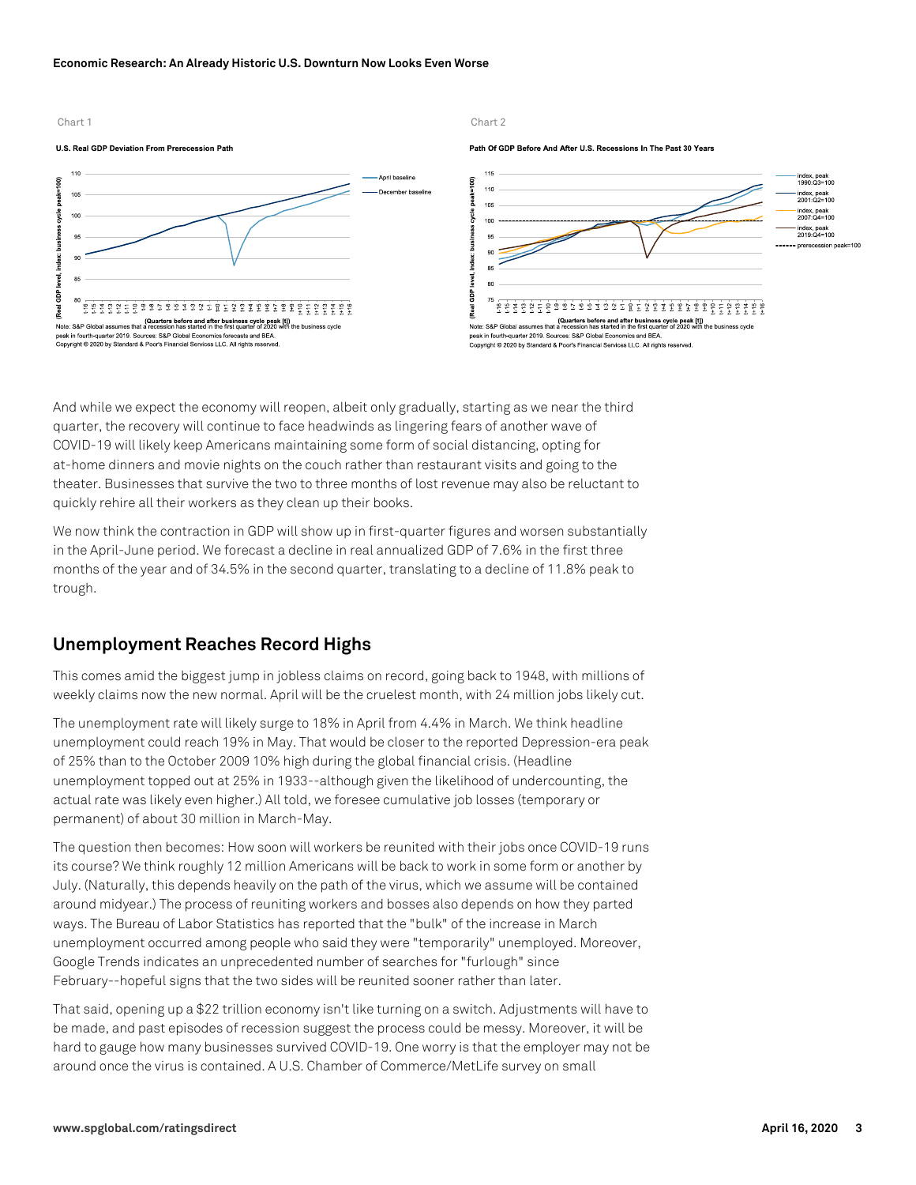### **Economic Research: An Already Historic U.S. Downturn Now Looks Even Worse**



Path Of GDP Before And After U.S. Recessions In The Past 30 Years



And while we expect the economy will reopen, albeit only gradually, starting as we near the third quarter, the recovery will continue to face headwinds as lingering fears of another wave of COVID-19 will likely keep Americans maintaining some form of social distancing, opting for at-home dinners and movie nights on the couch rather than restaurant visits and going to the theater. Businesses that survive the two to three months of lost revenue may also be reluctant to quickly rehire all their workers as they clean up their books.

We now think the contraction in GDP will show up in first-quarter figures and worsen substantially in the April-June period. We forecast a decline in real annualized GDP of 7.6% in the first three months of the year and of 34.5% in the second quarter, translating to a decline of 11.8% peak to trough.

# **Unemployment Reaches Record Highs**

This comes amid the biggest jump in jobless claims on record, going back to 1948, with millions of weekly claims now the new normal. April will be the cruelest month, with 24 million jobs likely cut.

The unemployment rate will likely surge to 18% in April from 4.4% in March. We think headline unemployment could reach 19% in May. That would be closer to the reported Depression-era peak of 25% than to the October 2009 10% high during the global financial crisis. (Headline unemployment topped out at 25% in 1933--although given the likelihood of undercounting, the actual rate was likely even higher.) All told, we foresee cumulative job losses (temporary or permanent) of about 30 million in March-May.

The question then becomes: How soon will workers be reunited with their jobs once COVID-19 runs its course? We think roughly 12 million Americans will be back to work in some form or another by July. (Naturally, this depends heavily on the path of the virus, which we assume will be contained around midyear.) The process of reuniting workers and bosses also depends on how they parted ways. The Bureau of Labor Statistics has reported that the "bulk" of the increase in March unemployment occurred among people who said they were "temporarily" unemployed. Moreover, Google Trends indicates an unprecedented number of searches for "furlough" since February--hopeful signs that the two sides will be reunited sooner rather than later.

That said, opening up a \$22 trillion economy isn't like turning on a switch. Adjustments will have to be made, and past episodes of recession suggest the process could be messy. Moreover, it will be hard to gauge how many businesses survived COVID-19. One worry is that the employer may not be around once the virus is contained. A U.S. Chamber of Commerce/MetLife survey on small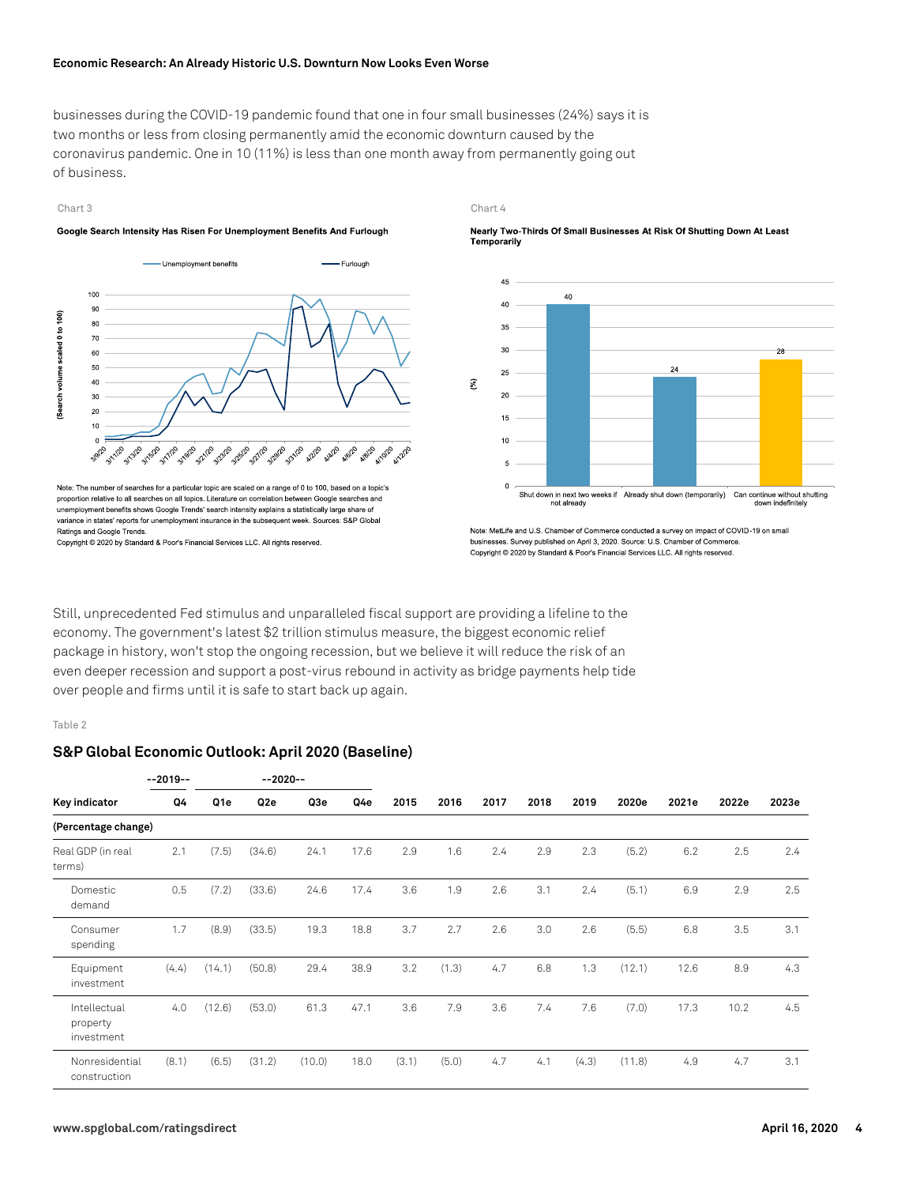businesses during the COVID-19 pandemic found that one in four small businesses (24%) says it is two months or less from closing permanently amid the economic downturn caused by the coronavirus pandemic. One in 10 (11%) is less than one month away from permanently going out of business.

### Chart 3 Chart 4

### Google Search Intensity Has Risen For Unemployment Benefits And Furlough



Note: The number of searches for a particular topic are scaled on a range of 0 to 100, based on a topic's proportion relative to all searches on all topics. Literature on correlation between Google searches and unemployment benefits shows Google Trends' search intensity explains a statistically large share of variance in states' reports for unemployment insurance in the subsequent week. Sources: S&P Global Ratings and Google Trends.

Copyright © 2020 by Standard & Poor's Financial Services LLC. All rights reserved.





Note: MetLife and U.S. Chamber of Commerce conducted a survey on impact of COVID-19 on small businesses. Survey published on April 3, 2020. Source: U.S. Chamber of Commerce Copyright © 2020 by Standard & Poor's Financial Services LLC. All rights reserved.

Still, unprecedented Fed stimulus and unparalleled fiscal support are providing a lifeline to the economy. The government's latest \$2 trillion stimulus measure, the biggest economic relief package in history, won't stop the ongoing recession, but we believe it will reduce the risk of an even deeper recession and support a post-virus rebound in activity as bridge payments help tide over people and firms until it is safe to start back up again.

### Table 2

# **S&P Global Economic Outlook: April 2020 (Baseline)**

|                                        | $-2019-$ |        | $-2020 - -$ |        |      |       |       |      |      |       |        |       |       |       |
|----------------------------------------|----------|--------|-------------|--------|------|-------|-------|------|------|-------|--------|-------|-------|-------|
| Key indicator                          | Q4       | Q1e    | Q2e         | Q3e    | Q4e  | 2015  | 2016  | 2017 | 2018 | 2019  | 2020e  | 2021e | 2022e | 2023e |
| (Percentage change)                    |          |        |             |        |      |       |       |      |      |       |        |       |       |       |
| Real GDP (in real<br>terms)            | 2.1      | (7.5)  | (34.6)      | 24.1   | 17.6 | 2.9   | 1.6   | 2.4  | 2.9  | 2.3   | (5.2)  | 6.2   | 2.5   | 2.4   |
| Domestic<br>demand                     | 0.5      | (7.2)  | (33.6)      | 24.6   | 17.4 | 3.6   | 1.9   | 2.6  | 3.1  | 2.4   | (5.1)  | 6.9   | 2.9   | 2.5   |
| Consumer<br>spending                   | 1.7      | (8.9)  | (33.5)      | 19.3   | 18.8 | 3.7   | 2.7   | 2.6  | 3.0  | 2.6   | (5.5)  | 6.8   | 3.5   | 3.1   |
| Equipment<br>investment                | (4.4)    | (14.1) | (50.8)      | 29.4   | 38.9 | 3.2   | (1.3) | 4.7  | 6.8  | 1.3   | (12.1) | 12.6  | 8.9   | 4.3   |
| Intellectual<br>property<br>investment | 4.0      | (12.6) | (53.0)      | 61.3   | 47.1 | 3.6   | 7.9   | 3.6  | 7.4  | 7.6   | (7.0)  | 17.3  | 10.2  | 4.5   |
| Nonresidential<br>construction         | (8.1)    | (6.5)  | (31.2)      | (10.0) | 18.0 | (3.1) | (5.0) | 4.7  | 4.1  | (4.3) | (11.8) | 4.9   | 4.7   | 3.1   |

Nearly Two-Thirds Of Small Businesses At Risk Of Shutting Down At Least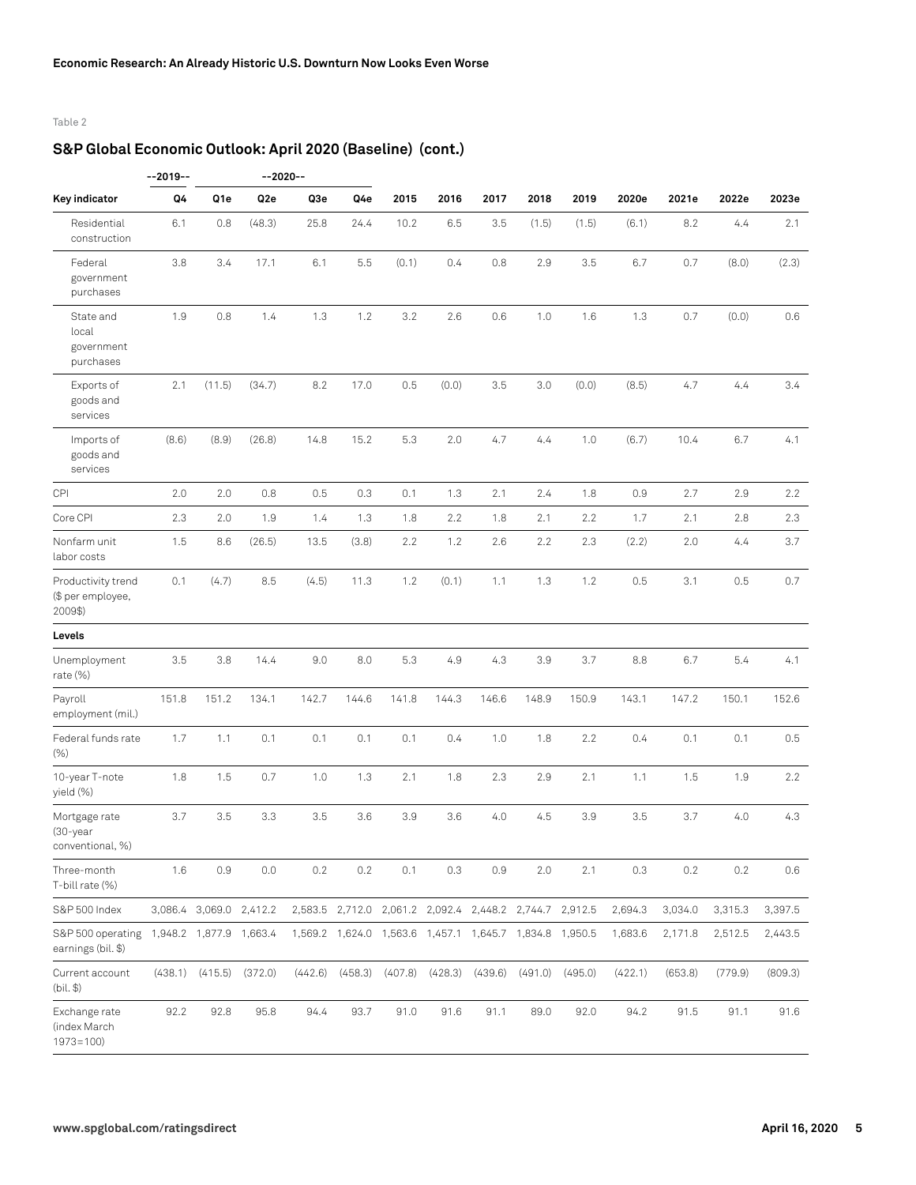# Table 2

# **S&P Global Economic Outlook: April 2020 (Baseline) (cont.)**

|                                                    | $-2019-$ |                         | $-2020 - -$     |         |         |         |         |         |                                                               |         |         |         |         |         |
|----------------------------------------------------|----------|-------------------------|-----------------|---------|---------|---------|---------|---------|---------------------------------------------------------------|---------|---------|---------|---------|---------|
| Key indicator                                      | Q4       | Q1e                     | Q <sub>2e</sub> | Q3e     | Q4e     | 2015    | 2016    | 2017    | 2018                                                          | 2019    | 2020e   | 2021e   | 2022e   | 2023e   |
| Residential<br>construction                        | 6.1      | 0.8                     | (48.3)          | 25.8    | 24.4    | 10.2    | 6.5     | 3.5     | (1.5)                                                         | (1.5)   | (6.1)   | 8.2     | 4.4     | 2.1     |
| Federal<br>government<br>purchases                 | 3.8      | 3.4                     | 17.1            | 6.1     | 5.5     | (0.1)   | 0.4     | 0.8     | 2.9                                                           | 3.5     | 6.7     | 0.7     | (8.0)   | (2.3)   |
| State and<br>local<br>government<br>purchases      | 1.9      | 0.8                     | 1.4             | 1.3     | 1.2     | 3.2     | 2.6     | 0.6     | 1.0                                                           | 1.6     | 1.3     | 0.7     | (0.0)   | 0.6     |
| Exports of<br>goods and<br>services                | 2.1      | (11.5)                  | (34.7)          | 8.2     | 17.0    | 0.5     | (0.0)   | 3.5     | 3.0                                                           | (0.0)   | (8.5)   | 4.7     | 4.4     | 3.4     |
| Imports of<br>goods and<br>services                | (8.6)    | (8.9)                   | (26.8)          | 14.8    | 15.2    | 5.3     | 2.0     | 4.7     | 4.4                                                           | 1.0     | (6.7)   | 10.4    | 6.7     | 4.1     |
| CPI                                                | 2.0      | 2.0                     | 0.8             | 0.5     | 0.3     | 0.1     | 1.3     | 2.1     | 2.4                                                           | 1.8     | 0.9     | 2.7     | 2.9     | 2.2     |
| Core CPI                                           | 2.3      | 2.0                     | 1.9             | 1.4     | 1.3     | 1.8     | 2.2     | 1.8     | 2.1                                                           | 2.2     | 1.7     | 2.1     | 2.8     | 2.3     |
| Nonfarm unit<br>labor costs                        | 1.5      | 8.6                     | (26.5)          | 13.5    | (3.8)   | 2.2     | 1.2     | 2.6     | 2.2                                                           | 2.3     | (2.2)   | 2.0     | 4.4     | 3.7     |
| Productivity trend<br>(\$ per employee,<br>2009\$) | 0.1      | (4.7)                   | 8.5             | (4.5)   | 11.3    | 1.2     | (0.1)   | 1.1     | 1.3                                                           | 1.2     | 0.5     | 3.1     | 0.5     | 0.7     |
| Levels                                             |          |                         |                 |         |         |         |         |         |                                                               |         |         |         |         |         |
| Unemployment<br>rate $(\%)$                        | 3.5      | 3.8                     | 14.4            | 9.0     | 8.0     | 5.3     | 4.9     | 4.3     | 3.9                                                           | 3.7     | 8.8     | 6.7     | 5.4     | 4.1     |
| Payroll<br>employment (mil.)                       | 151.8    | 151.2                   | 134.1           | 142.7   | 144.6   | 141.8   | 144.3   | 146.6   | 148.9                                                         | 150.9   | 143.1   | 147.2   | 150.1   | 152.6   |
| Federal funds rate<br>(% )                         | 1.7      | 1.1                     | 0.1             | 0.1     | 0.1     | 0.1     | 0.4     | 1.0     | 1.8                                                           | 2.2     | 0.4     | 0.1     | 0.1     | 0.5     |
| 10-year T-note<br>yield (%)                        | 1.8      | 1.5                     | 0.7             | 1.0     | 1.3     | 2.1     | 1.8     | 2.3     | 2.9                                                           | 2.1     | 1.1     | 1.5     | 1.9     | 2.2     |
| Mortgage rate<br>$(30 - year)$<br>conventional, %) | 3.7      | 3.5                     | 3.3             | 3.5     | 3.6     | 3.9     | 3.6     | 4.0     | 4.5                                                           | 3.9     | 3.5     | 3.7     | 4.0     | 4.3     |
| Three-month<br>T-bill rate (%)                     | 1.6      | 0.9                     | 0.0             | $0.2\,$ | $0.2\,$ | 0.1     | 0.3     | 0.9     | 2.0                                                           | 2.1     | 0.3     | $0.2\,$ | $0.2\,$ | 0.6     |
| S&P 500 Index                                      |          | 3,086.4 3,069.0 2,412.2 |                 |         |         |         |         |         | 2,583.5 2,712.0 2,061.2 2,092.4 2,448.2 2,744.7 2,912.5       |         | 2,694.3 | 3,034.0 | 3,315.3 | 3,397.5 |
| S&P 500 operating<br>earnings (bil. \$)            |          | 1,948.2 1,877.9 1,663.4 |                 |         |         |         |         |         | 1,569.2  1,624.0  1,563.6  1,457.1  1,645.7  1,834.8  1,950.5 |         | 1,683.6 | 2,171.8 | 2,512.5 | 2,443.5 |
| Current account<br>(bil. \$)                       |          | $(438.1)$ $(415.5)$     | (372.0)         | (442.6) | (458.3) | (407.8) | (428.3) | (439.6) | (491.0)                                                       | (495.0) | (422.1) | (653.8) | (779.9) | (809.3) |
| Exchange rate<br>(index March<br>$1973 = 100$      | 92.2     | 92.8                    | 95.8            | 94.4    | 93.7    | 91.0    | 91.6    | 91.1    | 89.0                                                          | 92.0    | 94.2    | 91.5    | 91.1    | 91.6    |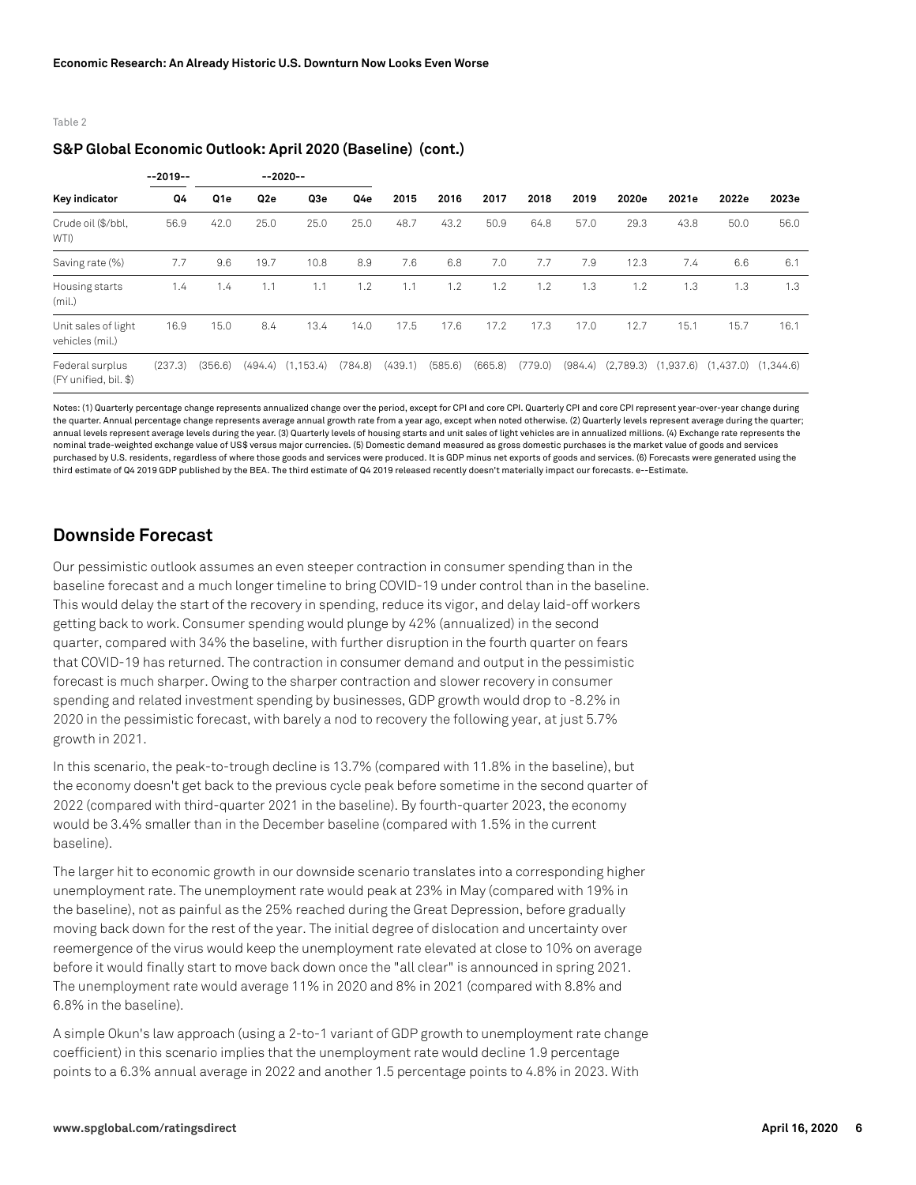Table 2

# **S&P Global Economic Outlook: April 2020 (Baseline) (cont.)**

|                                          | $-2019-$ |                 | $-2020-$        |            |         |         |         |         |         |                      |           |                       |                         |       |
|------------------------------------------|----------|-----------------|-----------------|------------|---------|---------|---------|---------|---------|----------------------|-----------|-----------------------|-------------------------|-------|
| Key indicator                            | Q4       | Q <sub>1e</sub> | Q <sub>2e</sub> | Q3e        | Q4e     | 2015    | 2016    | 2017    | 2018    | 2019                 | 2020e     | 2021e                 | 2022e                   | 2023e |
| Crude oil (\$/bbl,<br>WTI)               | 56.9     | 42.0            | 25.0            | 25.0       | 25.0    | 48.7    | 43.2    | 50.9    | 64.8    | 57.0                 | 29.3      | 43.8                  | 50.0                    | 56.0  |
| Saving rate (%)                          | 7.7      | 9.6             | 19.7            | 10.8       | 8.9     | 7.6     | 6.8     | 7.0     | 7.7     | 7.9                  | 12.3      | 7.4                   | 6.6                     | 6.1   |
| Housing starts<br>(mil.)                 | 1.4      | 1.4             | 1.1             | 1.1        | 1.2     | 1.1     | 1.2     | 1.2     | 1.2     | .3<br>$\overline{a}$ | 1.2<br>и  | 1.3<br>$\overline{ }$ | 1.3                     | 1.3   |
| Unit sales of light<br>vehicles (mil.)   | 16.9     | 15.0            | 8.4             | 13.4       | 14.0    | 17.5    | 17.6    | 17.2    | 17.3    | 17.0                 | 12.7      | 15.1                  | 15.7                    | 16.1  |
| Federal surplus<br>(FY unified, bil. \$) | (237.3)  | (356.6)         | (494.4)         | (1, 153.4) | (784.8) | (439.1) | (585.6) | (665.8) | (779.0) | (984.4)              | (2,789.3) | (1,937.6)             | $(1,437.0)$ $(1,344.6)$ |       |

Notes: (1) Quarterly percentage change represents annualized change over the period, except for CPI and core CPI. Quarterly CPI and core CPI represent year-over-year change during the quarter. Annual percentage change represents average annual growth rate from a year ago, except when noted otherwise. (2) Quarterly levels represent average during the quarter; annual levels represent average levels during the year. (3) Quarterly levels of housing starts and unit sales of light vehicles are in annualized millions. (4) Exchange rate represents the nominal trade-weighted exchange value of US\$ versus major currencies. (5) Domestic demand measured as gross domestic purchases is the market value of goods and services purchased by U.S. residents, regardless of where those goods and services were produced. It is GDP minus net exports of goods and services. (6) Forecasts were generated using the third estimate of Q4 2019 GDP published by the BEA. The third estimate of Q4 2019 released recently doesn't materially impact our forecasts. e--Estimate.

# **Downside Forecast**

Our pessimistic outlook assumes an even steeper contraction in consumer spending than in the baseline forecast and a much longer timeline to bring COVID-19 under control than in the baseline. This would delay the start of the recovery in spending, reduce its vigor, and delay laid-off workers getting back to work. Consumer spending would plunge by 42% (annualized) in the second quarter, compared with 34% the baseline, with further disruption in the fourth quarter on fears that COVID-19 has returned. The contraction in consumer demand and output in the pessimistic forecast is much sharper. Owing to the sharper contraction and slower recovery in consumer spending and related investment spending by businesses, GDP growth would drop to -8.2% in 2020 in the pessimistic forecast, with barely a nod to recovery the following year, at just 5.7% growth in 2021.

In this scenario, the peak-to-trough decline is 13.7% (compared with 11.8% in the baseline), but the economy doesn't get back to the previous cycle peak before sometime in the second quarter of 2022 (compared with third-quarter 2021 in the baseline). By fourth-quarter 2023, the economy would be 3.4% smaller than in the December baseline (compared with 1.5% in the current baseline).

The larger hit to economic growth in our downside scenario translates into a corresponding higher unemployment rate. The unemployment rate would peak at 23% in May (compared with 19% in the baseline), not as painful as the 25% reached during the Great Depression, before gradually moving back down for the rest of the year. The initial degree of dislocation and uncertainty over reemergence of the virus would keep the unemployment rate elevated at close to 10% on average before it would finally start to move back down once the "all clear" is announced in spring 2021. The unemployment rate would average 11% in 2020 and 8% in 2021 (compared with 8.8% and 6.8% in the baseline).

A simple Okun's law approach (using a 2-to-1 variant of GDP growth to unemployment rate change coefficient) in this scenario implies that the unemployment rate would decline 1.9 percentage points to a 6.3% annual average in 2022 and another 1.5 percentage points to 4.8% in 2023. With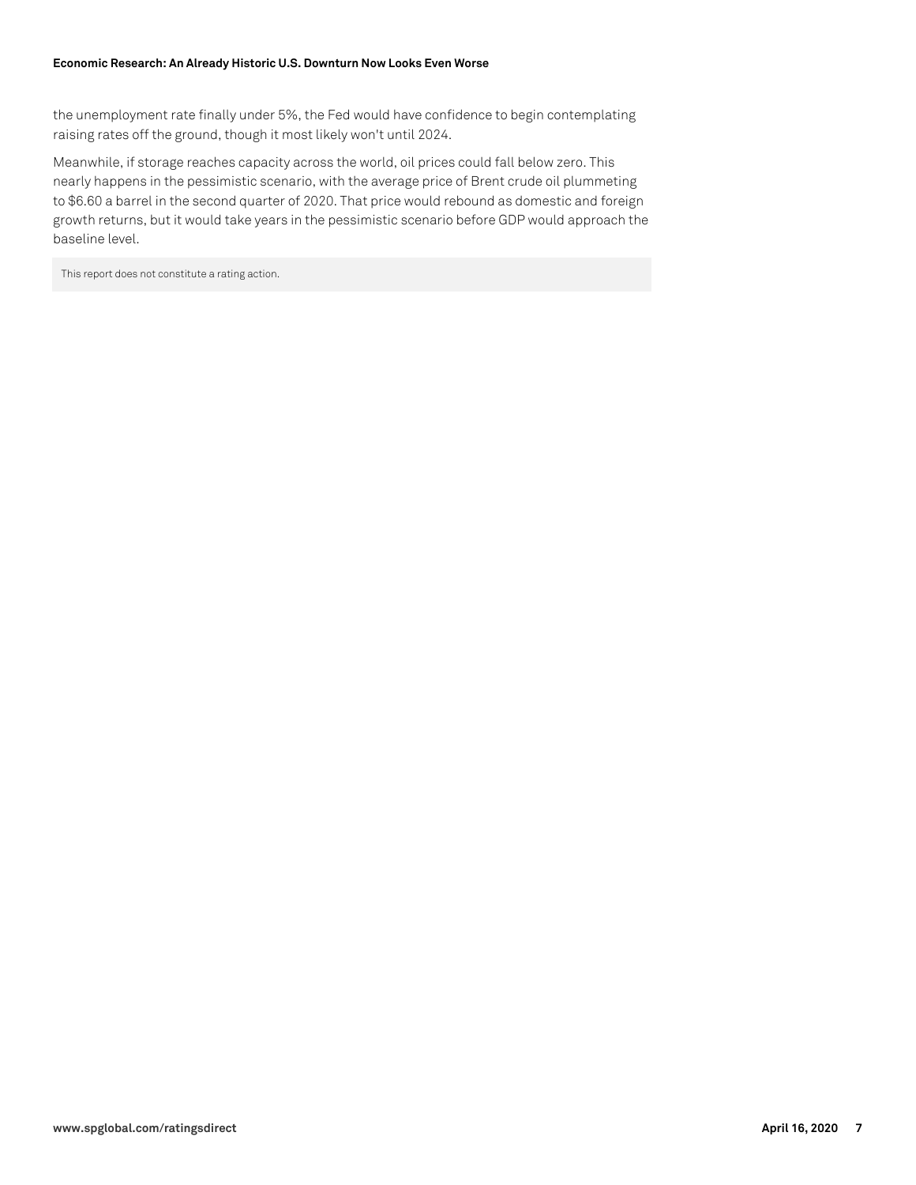the unemployment rate finally under 5%, the Fed would have confidence to begin contemplating raising rates off the ground, though it most likely won't until 2024.

Meanwhile, if storage reaches capacity across the world, oil prices could fall below zero. This nearly happens in the pessimistic scenario, with the average price of Brent crude oil plummeting to \$6.60 a barrel in the second quarter of 2020. That price would rebound as domestic and foreign growth returns, but it would take years in the pessimistic scenario before GDP would approach the baseline level.

This report does not constitute a rating action.